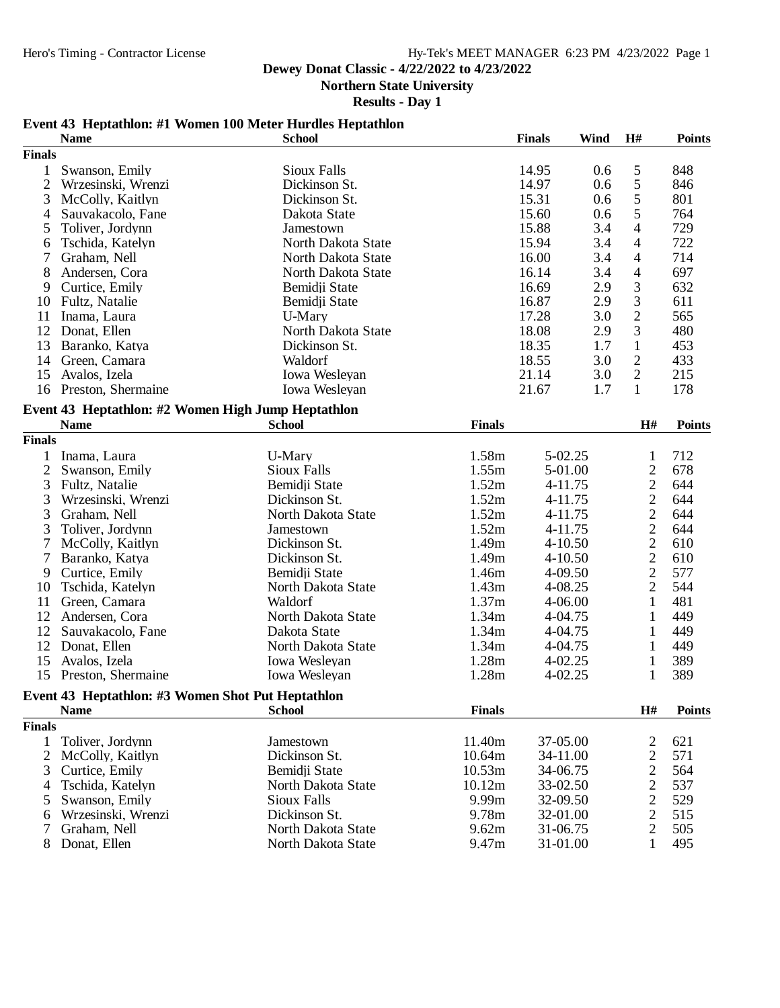## **Dewey Donat Classic - 4/22/2022 to 4/23/2022**

**Northern State University**

### **Results - Day 1**

## **Event 43 Heptathlon: #1 Women 100 Meter Hurdles Heptathlon**

|                | <b>Name</b>                                                      | <b>School</b>      |               | <b>Finals</b> | Wind | H#                | <b>Points</b> |
|----------------|------------------------------------------------------------------|--------------------|---------------|---------------|------|-------------------|---------------|
| <b>Finals</b>  |                                                                  |                    |               |               |      |                   |               |
| 1              | Swanson, Emily                                                   | Sioux Falls        |               | 14.95         | 0.6  | 5                 | 848           |
| $\overline{2}$ | Wrzesinski, Wrenzi                                               | Dickinson St.      |               | 14.97         | 0.6  | 5                 | 846           |
| 3              | McColly, Kaitlyn                                                 | Dickinson St.      |               | 15.31         | 0.6  | 5                 | 801           |
| 4              | Sauvakacolo, Fane                                                | Dakota State       |               | 15.60         | 0.6  | 5                 | 764           |
| 5              | Toliver, Jordynn                                                 | Jamestown          |               | 15.88         | 3.4  | 4                 | 729           |
| 6              | Tschida, Katelyn                                                 | North Dakota State |               | 15.94         | 3.4  | 4                 | 722           |
| 7              | Graham, Nell                                                     | North Dakota State |               | 16.00         | 3.4  | 4                 | 714           |
| 8              | Andersen, Cora                                                   | North Dakota State |               | 16.14         | 3.4  | $\overline{4}$    | 697           |
| 9              | Curtice, Emily                                                   | Bemidji State      |               | 16.69         | 2.9  | 3                 | 632           |
| 10             | Fultz, Natalie                                                   | Bemidii State      |               | 16.87         | 2.9  | 3                 | 611           |
| 11             | Inama, Laura                                                     | U-Mary             |               | 17.28         | 3.0  | $\overline{c}$    | 565           |
| 12             | Donat, Ellen                                                     | North Dakota State |               | 18.08         | 2.9  | 3                 | 480           |
| 13             | Baranko, Katya                                                   | Dickinson St.      |               | 18.35         | 1.7  | $\mathbf{1}$      | 453           |
| 14             | Green, Camara                                                    | Waldorf            |               | 18.55         | 3.0  | $\sqrt{2}$        | 433           |
| 15             | Avalos, Izela                                                    | Iowa Wesleyan      |               | 21.14         | 3.0  | $\overline{2}$    | 215           |
| 16             | Preston, Shermaine                                               | Iowa Wesleyan      |               | 21.67         | 1.7  | $\mathbf{1}$      | 178           |
|                |                                                                  |                    |               |               |      |                   |               |
|                | Event 43 Heptathlon: #2 Women High Jump Heptathlon               |                    |               |               |      |                   |               |
|                | <b>Name</b>                                                      | <b>School</b>      | <b>Finals</b> |               |      | H#                | <b>Points</b> |
| <b>Finals</b>  |                                                                  |                    |               |               |      |                   |               |
| 1              | Inama, Laura                                                     | U-Mary             | 1.58m         | 5-02.25       |      | $\mathbf{1}$      | 712           |
| $\overline{2}$ | Swanson, Emily                                                   | <b>Sioux Falls</b> | 1.55m         | 5-01.00       |      | $\overline{c}$    | 678           |
| 3              | Fultz, Natalie                                                   | Bemidji State      | 1.52m         | 4-11.75       |      | $\overline{2}$    | 644           |
| 3              | Wrzesinski, Wrenzi                                               | Dickinson St.      | 1.52m         | 4-11.75       |      | $\overline{c}$    | 644           |
| 3              | Graham, Nell                                                     | North Dakota State | 1.52m         | 4-11.75       |      | $\overline{c}$    | 644           |
| 3              | Toliver, Jordynn                                                 | Jamestown          | 1.52m         | 4-11.75       |      | $\overline{c}$    | 644           |
| $\overline{7}$ | McColly, Kaitlyn                                                 | Dickinson St.      | 1.49m         | 4-10.50       |      | $\overline{c}$    | 610           |
| 7              | Baranko, Katya                                                   | Dickinson St.      | 1.49m         | $4 - 10.50$   |      | $\overline{2}$    | 610           |
| 9              | Curtice, Emily                                                   | Bemidji State      | 1.46m         | 4-09.50       |      | $\overline{2}$    | 577           |
| 10             | Tschida, Katelyn                                                 | North Dakota State | 1.43m         | 4-08.25       |      | $\overline{2}$    | 544           |
| 11             | Green, Camara                                                    | Waldorf            | 1.37m         | 4-06.00       |      | $\mathbf{1}$      | 481           |
| 12             | Andersen, Cora                                                   | North Dakota State | 1.34m         | 4-04.75       |      | 1                 | 449           |
| 12             | Sauvakacolo, Fane                                                | Dakota State       | 1.34m         | 4-04.75       |      | 1                 | 449           |
| 12             | Donat, Ellen                                                     | North Dakota State | 1.34m         | 4-04.75       |      | $\mathbf{1}$      | 449           |
| 15             | Avalos, Izela                                                    | Iowa Wesleyan      | 1.28m         | $4 - 02.25$   |      | $\mathbf{1}$      | 389           |
| 15             | Preston, Shermaine                                               | Iowa Wesleyan      | 1.28m         | 4-02.25       |      | $\mathbf{1}$      | 389           |
|                |                                                                  |                    |               |               |      |                   |               |
|                | Event 43 Heptathlon: #3 Women Shot Put Heptathlon<br><b>Name</b> | <b>School</b>      | <b>Finals</b> |               |      | $\mathbf{H}^{\#}$ | <b>Points</b> |
|                |                                                                  |                    |               |               |      |                   |               |
| <b>Finals</b>  |                                                                  |                    |               |               |      |                   |               |
| 1              | Toliver, Jordynn                                                 | Jamestown          | 11.40m        | 37-05.00      |      | 2                 | 621           |
| $\overline{2}$ | McColly, Kaitlyn                                                 | Dickinson St.      | 10.64m        | 34-11.00      |      | $\overline{c}$    | 571           |
| 3              | Curtice, Emily                                                   | Bemidji State      | 10.53m        | 34-06.75      |      | $\overline{c}$    | 564           |
| 4              | Tschida, Katelyn                                                 | North Dakota State | 10.12m        | 33-02.50      |      | $\sqrt{2}$        | 537           |
| 5              | Swanson, Emily                                                   | <b>Sioux Falls</b> | 9.99m         | 32-09.50      |      | $\sqrt{2}$        | 529           |
| 6              | Wrzesinski, Wrenzi                                               | Dickinson St.      | 9.78m         | 32-01.00      |      | $\sqrt{2}$        | 515           |
| 7              | Graham, Nell                                                     | North Dakota State | 9.62m         | 31-06.75      |      | $\sqrt{2}$        | 505           |
| 8              | Donat, Ellen                                                     | North Dakota State | 9.47m         | 31-01.00      |      | $\mathbf{1}$      | 495           |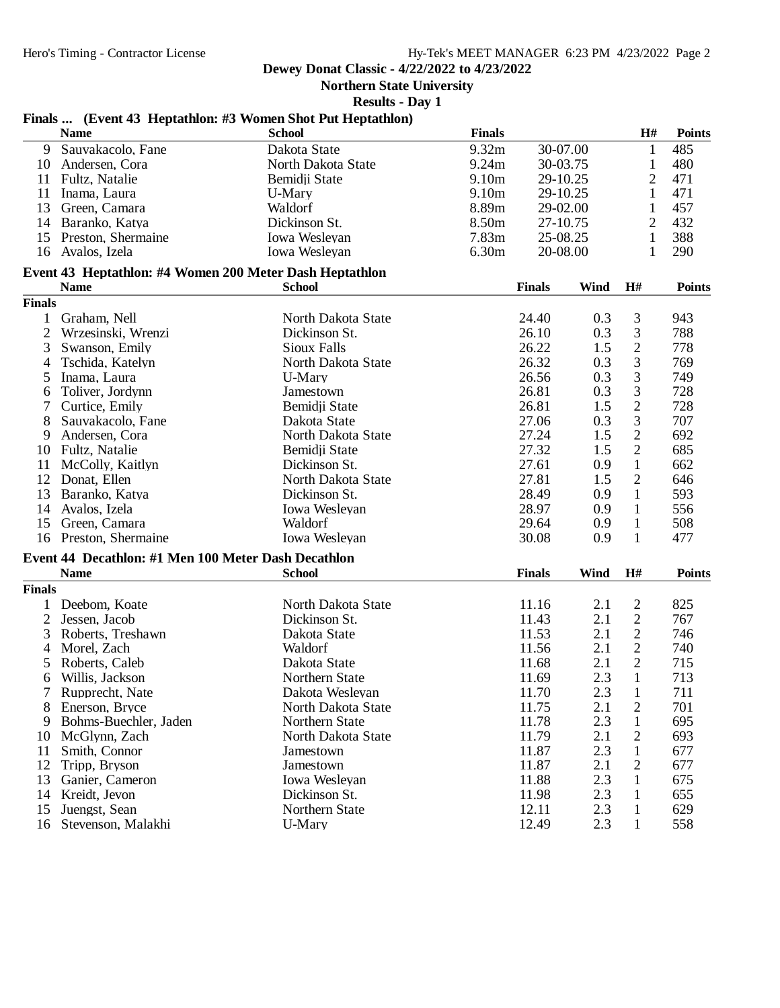**Dewey Donat Classic - 4/22/2022 to 4/23/2022**

**Northern State University**

**Results - Day 1**

# **Finals ... (Event 43 Heptathlon: #3 Women Shot Put Heptathlon)**

|                | <b>Name</b>                                             | пиня не упусти по перииннопо но угонин эпос пас периинноп)<br><b>School</b> | <b>Finals</b>     |               |             | H#             | <b>Points</b> |
|----------------|---------------------------------------------------------|-----------------------------------------------------------------------------|-------------------|---------------|-------------|----------------|---------------|
| 9              | Sauvakacolo, Fane                                       | Dakota State                                                                | 9.32m             | 30-07.00      |             | $\mathbf{1}$   | 485           |
| 10             | Andersen, Cora                                          | North Dakota State                                                          | 9.24m             | 30-03.75      |             | 1              | 480           |
| 11             | Fultz, Natalie                                          | Bemidji State                                                               | 9.10m             | 29-10.25      |             | $\overline{2}$ | 471           |
| 11             | Inama, Laura                                            | U-Mary                                                                      | 9.10 <sub>m</sub> | 29-10.25      |             | 1              | 471           |
| 13             | Green, Camara                                           | Waldorf                                                                     | 8.89m             | 29-02.00      |             | 1              | 457           |
| 14             | Baranko, Katya                                          | Dickinson St.                                                               | 8.50 <sub>m</sub> | 27-10.75      |             | $\overline{2}$ | 432           |
| 15             | Preston, Shermaine                                      | Iowa Wesleyan                                                               | 7.83m             | 25-08.25      |             | $\mathbf{1}$   | 388           |
| 16             | Avalos, Izela                                           | Iowa Wesleyan                                                               | 6.30m             | 20-08.00      |             | 1              | 290           |
|                | Event 43 Heptathlon: #4 Women 200 Meter Dash Heptathlon |                                                                             |                   |               |             |                |               |
|                | <b>Name</b>                                             | <b>School</b>                                                               |                   | <b>Finals</b> | <b>Wind</b> | H#             | <b>Points</b> |
| <b>Finals</b>  |                                                         |                                                                             |                   |               |             |                |               |
| $\mathbf{1}$   | Graham, Nell                                            | North Dakota State                                                          |                   | 24.40         | 0.3         | 3              | 943           |
| $\mathfrak{2}$ | Wrzesinski, Wrenzi                                      | Dickinson St.                                                               |                   | 26.10         | 0.3         | 3              | 788           |
| 3              | Swanson, Emily                                          | Sioux Falls                                                                 |                   | 26.22         | 1.5         | $\sqrt{2}$     | 778           |
| 4              | Tschida, Katelyn                                        | North Dakota State                                                          |                   | 26.32         | 0.3         | 3              | 769           |
| 5              | Inama, Laura                                            | U-Mary                                                                      |                   | 26.56         | 0.3         | $\mathfrak{Z}$ | 749           |
| 6              | Toliver, Jordynn                                        | Jamestown                                                                   |                   | 26.81         | 0.3         | 3              | 728           |
| 7              | Curtice, Emily                                          | Bemidji State                                                               |                   | 26.81         | 1.5         | $\overline{c}$ | 728           |
| 8              | Sauvakacolo, Fane                                       | Dakota State                                                                |                   | 27.06         | 0.3         | 3              | 707           |
| 9              | Andersen, Cora                                          | North Dakota State                                                          |                   | 27.24         | 1.5         | $\overline{c}$ | 692           |
| 10             | Fultz, Natalie                                          | Bemidji State                                                               |                   | 27.32         | 1.5         | $\overline{2}$ | 685           |
| 11             | McColly, Kaitlyn                                        | Dickinson St.                                                               |                   | 27.61         | 0.9         | $\mathbf{1}$   | 662           |
| 12             | Donat, Ellen                                            | North Dakota State                                                          |                   | 27.81         | 1.5         | $\mathbf{2}$   | 646           |
| 13             | Baranko, Katya                                          | Dickinson St.                                                               |                   | 28.49         | 0.9         | $\mathbf{1}$   | 593           |
| 14             | Avalos, Izela                                           | Iowa Wesleyan                                                               |                   | 28.97         | 0.9         | $\mathbf{1}$   | 556           |
| 15             | Green, Camara                                           | Waldorf                                                                     |                   | 29.64         | 0.9         | $\mathbf{1}$   | 508           |
|                | 16 Preston, Shermaine                                   | Iowa Wesleyan                                                               |                   | 30.08         | 0.9         | 1              | 477           |
|                | Event 44 Decathlon: #1 Men 100 Meter Dash Decathlon     |                                                                             |                   |               |             |                |               |
|                | <b>Name</b>                                             | <b>School</b>                                                               |                   | <b>Finals</b> | Wind        | H#             | <b>Points</b> |
| <b>Finals</b>  |                                                         |                                                                             |                   |               |             |                |               |
| 1              | Deebom, Koate                                           | North Dakota State                                                          |                   | 11.16         | 2.1         | $\overline{c}$ | 825           |
| $\overline{2}$ | Jessen, Jacob                                           | Dickinson St.                                                               |                   | 11.43         | 2.1         | $\sqrt{2}$     | 767           |
| 3              | Roberts, Treshawn                                       | Dakota State                                                                |                   | 11.53         | 2.1         | $\sqrt{2}$     | 746           |
| 4              | Morel, Zach                                             | Waldorf                                                                     |                   | 11.56         | 2.1         | $\overline{2}$ | 740           |
| 5              | Roberts, Caleb                                          | Dakota State                                                                |                   | 11.68         | 2.1         | $\mathbf{2}$   | 715           |
| 6              | Willis, Jackson                                         | Northern State                                                              |                   | 11.69         | 2.3         | $\mathbf{1}$   | 713           |
|                | 7 Rupprecht, Nate                                       | Dakota Wesleyan                                                             |                   | 11.70         | 2.3         | $\mathbf{1}$   | 711           |
| 8              | Enerson, Bryce                                          | North Dakota State                                                          |                   | 11.75         | 2.1         | $\overline{c}$ | 701           |
| 9              | Bohms-Buechler, Jaden                                   | Northern State                                                              |                   | 11.78         | 2.3         | 1              | 695           |
| 10             | McGlynn, Zach                                           | North Dakota State                                                          |                   | 11.79         | 2.1         | 2              | 693           |
| 11             | Smith, Connor                                           | Jamestown                                                                   |                   | 11.87         | 2.3         | 1              | 677           |
| 12             | Tripp, Bryson                                           | Jamestown                                                                   |                   | 11.87         | 2.1         | 2              | 677           |
| 13             | Ganier, Cameron                                         | Iowa Wesleyan                                                               |                   | 11.88         | 2.3         | 1              | 675           |
| 14             | Kreidt, Jevon                                           | Dickinson St.                                                               |                   | 11.98         | 2.3         | 1              | 655           |
| 15             | Juengst, Sean                                           | Northern State                                                              |                   | 12.11         | 2.3         | $\mathbf{1}$   | 629           |
| 16             | Stevenson, Malakhi                                      | U-Mary                                                                      |                   | 12.49         | 2.3         | $\mathbf{1}$   | 558           |
|                |                                                         |                                                                             |                   |               |             |                |               |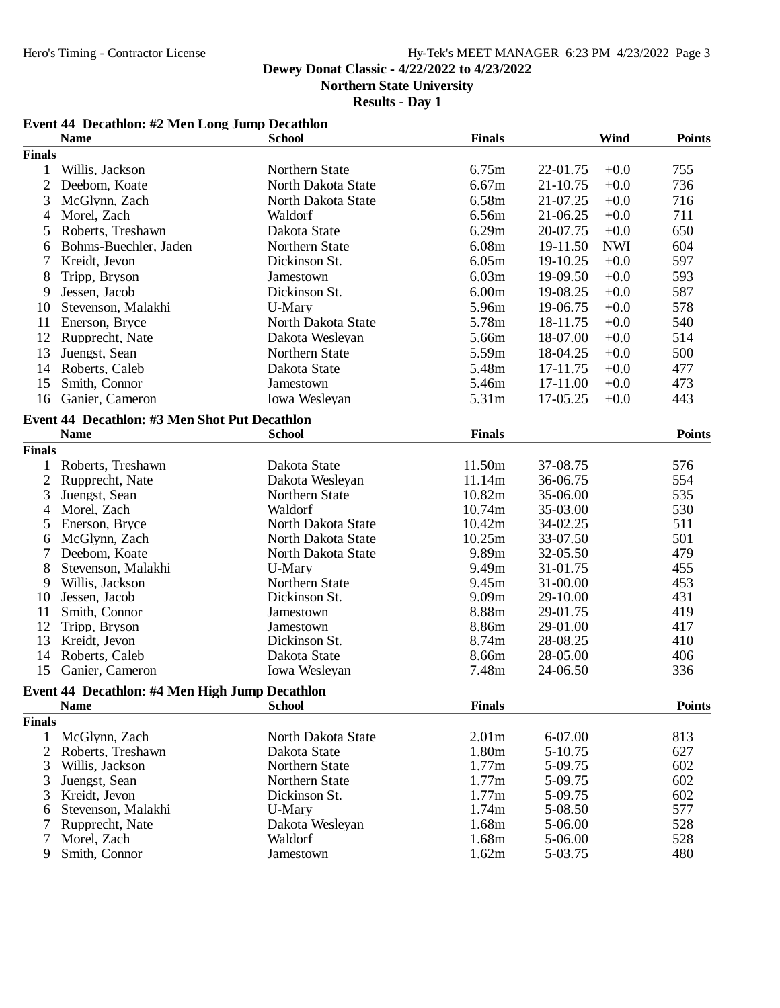## Hy-Tek's MEET MANAGER 6:23 PM 4/23/2022 Page 3

## **Dewey Donat Classic - 4/22/2022 to 4/23/2022**

**Northern State University**

## **Results - Day 1**

|                | Event 44 Decathlon: #2 Men Long Jump Decathlon<br><b>Name</b> | <b>School</b>                 | <b>Finals</b>     |                      | Wind       | <b>Points</b> |
|----------------|---------------------------------------------------------------|-------------------------------|-------------------|----------------------|------------|---------------|
| <b>Finals</b>  |                                                               |                               |                   |                      |            |               |
| 1              | Willis, Jackson                                               | Northern State                | 6.75m             | 22-01.75             | $+0.0$     | 755           |
| $\overline{2}$ | Deebom, Koate                                                 | North Dakota State            | 6.67m             | 21-10.75             | $+0.0$     | 736           |
| 3              | McGlynn, Zach                                                 | North Dakota State            | 6.58m             | 21-07.25             | $+0.0$     | 716           |
| 4              | Morel, Zach                                                   | Waldorf                       | 6.56m             | 21-06.25             | $+0.0$     | 711           |
| 5              | Roberts, Treshawn                                             | Dakota State                  | 6.29m             | 20-07.75             | $+0.0$     | 650           |
| 6              | Bohms-Buechler, Jaden                                         | Northern State                | 6.08m             | 19-11.50             | <b>NWI</b> | 604           |
| 7              |                                                               | Dickinson St.                 | 6.05m             | 19-10.25             | $+0.0$     | 597           |
|                | Kreidt, Jevon                                                 |                               | 6.03m             | 19-09.50             |            | 593           |
| 8              | Tripp, Bryson                                                 | Jamestown                     | 6.00m             |                      | $+0.0$     |               |
| 9              | Jessen, Jacob                                                 | Dickinson St.                 |                   | 19-08.25             | $+0.0$     | 587           |
| 10             | Stevenson, Malakhi                                            | U-Mary                        | 5.96m             | 19-06.75             | $+0.0$     | 578           |
| 11             | Enerson, Bryce                                                | North Dakota State            | 5.78m             | 18-11.75             | $+0.0$     | 540           |
| 12             | Rupprecht, Nate                                               | Dakota Wesleyan               | 5.66m             | 18-07.00             | $+0.0$     | 514           |
| 13             | Juengst, Sean                                                 | Northern State                | 5.59m             | 18-04.25             | $+0.0$     | 500           |
| 14             | Roberts, Caleb                                                | Dakota State                  | 5.48m             | 17-11.75             | $+0.0$     | 477           |
| 15             | Smith, Connor                                                 | Jamestown                     | 5.46m             | 17-11.00             | $+0.0$     | 473           |
| 16             | Ganier, Cameron                                               | Iowa Wesleyan                 | 5.31m             | 17-05.25             | $+0.0$     | 443           |
|                | Event 44 Decathlon: #3 Men Shot Put Decathlon                 |                               |                   |                      |            |               |
|                | <b>Name</b>                                                   | <b>School</b>                 | <b>Finals</b>     |                      |            | <b>Points</b> |
| <b>Finals</b>  |                                                               |                               |                   |                      |            |               |
| 1              | Roberts, Treshawn                                             | Dakota State                  | 11.50m            | 37-08.75             |            | 576           |
| $\overline{2}$ | Rupprecht, Nate                                               | Dakota Wesleyan               | 11.14m            | 36-06.75             |            | 554           |
| 3              | Juengst, Sean                                                 | Northern State                | 10.82m            | 35-06.00             |            | 535           |
| 4              | Morel, Zach                                                   | Waldorf                       | 10.74m            | 35-03.00             |            | 530           |
| 5              | Enerson, Bryce                                                | North Dakota State            | 10.42m            | 34-02.25             |            | 511           |
| 6              | McGlynn, Zach                                                 | North Dakota State            | 10.25m            | 33-07.50             |            | 501           |
| 7              | Deebom, Koate                                                 | North Dakota State            | 9.89m             | 32-05.50             |            | 479           |
| 8              | Stevenson, Malakhi                                            | U-Mary                        | 9.49m             | 31-01.75             |            | 455           |
| 9              | Willis, Jackson                                               | Northern State                | 9.45m             | 31-00.00             |            | 453           |
| 10             | Jessen, Jacob                                                 | Dickinson St.                 | 9.09m             | 29-10.00             |            | 431           |
| 11             | Smith, Connor                                                 | Jamestown                     | 8.88m             | 29-01.75             |            | 419           |
| 12             | Tripp, Bryson                                                 | Jamestown                     | 8.86m             | 29-01.00             |            | 417           |
| 13             | Kreidt, Jevon                                                 | Dickinson St.                 | 8.74m             | 28-08.25             |            | 410           |
| 14<br>15       | Roberts, Caleb<br>Ganier, Cameron                             | Dakota State<br>Iowa Wesleyan | 8.66m<br>7.48m    | 28-05.00<br>24-06.50 |            | 406<br>336    |
|                |                                                               |                               |                   |                      |            |               |
|                | Event 44 Decathlon: #4 Men High Jump Decathlon<br><b>Name</b> | <b>School</b>                 | <b>Finals</b>     |                      |            | <b>Points</b> |
| <b>Finals</b>  |                                                               |                               |                   |                      |            |               |
|                | 1 McGlynn, Zach                                               | North Dakota State            | 2.01 <sub>m</sub> | 6-07.00              |            | 813           |
| $\overline{2}$ | Roberts, Treshawn                                             | Dakota State                  | 1.80m             | 5-10.75              |            | 627           |
| 3              | Willis, Jackson                                               | Northern State                | 1.77m             | 5-09.75              |            | 602           |
| 3              | Juengst, Sean                                                 | Northern State                | 1.77m             | 5-09.75              |            | 602           |
| 3              | Kreidt, Jevon                                                 | Dickinson St.                 | 1.77m             | 5-09.75              |            | 602           |
| 6              | Stevenson, Malakhi                                            | U-Mary                        | 1.74m             | 5-08.50              |            | 577           |
| 7              | Rupprecht, Nate                                               | Dakota Wesleyan               | 1.68m             | 5-06.00              |            | 528           |
| 7              | Morel, Zach                                                   | Waldorf                       | 1.68m             | 5-06.00              |            | 528           |
| 9              | Smith, Connor                                                 | Jamestown                     | 1.62m             | 5-03.75              |            | 480           |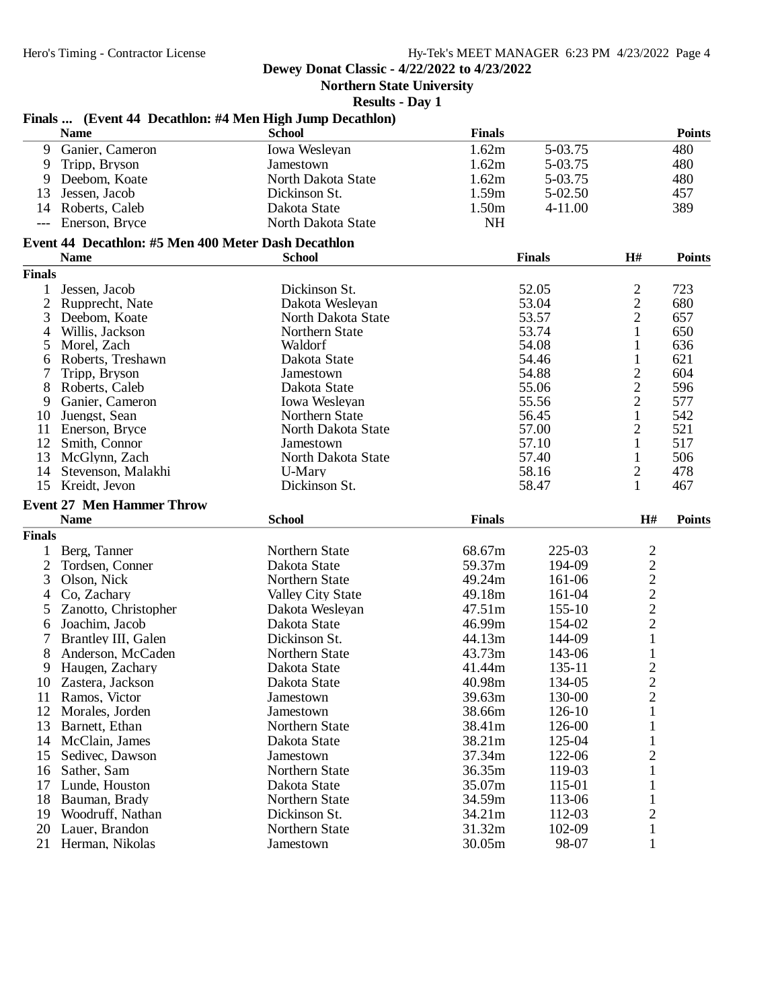**Dewey Donat Classic - 4/22/2022 to 4/23/2022**

**Northern State University**

**Results - Day 1**

|                                     |                                                     | Finals  (Event 44 Decathlon: #4 Men High Jump Decathlon) |               |                  |                                           |               |
|-------------------------------------|-----------------------------------------------------|----------------------------------------------------------|---------------|------------------|-------------------------------------------|---------------|
|                                     | <b>Name</b>                                         | <b>School</b>                                            | <b>Finals</b> |                  |                                           | <b>Points</b> |
| 9                                   | Ganier, Cameron                                     | Iowa Wesleyan                                            | 1.62m         | 5-03.75          |                                           | 480           |
| 9                                   | Tripp, Bryson                                       | Jamestown                                                | 1.62m         | 5-03.75          |                                           | 480           |
| 9                                   | Deebom, Koate                                       | North Dakota State                                       | 1.62m         | 5-03.75          |                                           | 480           |
| 13                                  | Jessen, Jacob                                       | Dickinson St.                                            | 1.59m         | 5-02.50          |                                           | 457           |
| 14                                  | Roberts, Caleb                                      | Dakota State                                             | 1.50m         | $4 - 11.00$      |                                           | 389           |
| $\hspace{0.05cm}---\hspace{0.05cm}$ | Enerson, Bryce                                      | North Dakota State                                       | <b>NH</b>     |                  |                                           |               |
|                                     | Event 44 Decathlon: #5 Men 400 Meter Dash Decathlon |                                                          |               |                  |                                           |               |
|                                     | <b>Name</b>                                         | <b>School</b>                                            |               | <b>Finals</b>    | H#                                        | <b>Points</b> |
| <b>Finals</b>                       |                                                     |                                                          |               |                  |                                           |               |
| 1                                   | Jessen, Jacob                                       | Dickinson St.                                            |               | 52.05            | $\overline{c}$                            | 723           |
| 2                                   | Rupprecht, Nate                                     | Dakota Wesleyan                                          |               | 53.04            | $\overline{c}$                            | 680           |
| 3                                   | Deebom, Koate                                       | North Dakota State                                       |               | 53.57            | $\overline{c}$                            | 657           |
| 4                                   | Willis, Jackson                                     | Northern State                                           |               | 53.74            | 1                                         | 650           |
| 5                                   | Morel, Zach                                         | Waldorf                                                  |               | 54.08<br>54.46   | 1                                         | 636<br>621    |
| 6                                   | Roberts, Treshawn                                   | Dakota State                                             |               | 54.88            | 1                                         | 604           |
| 7<br>8                              | Tripp, Bryson<br>Roberts, Caleb                     | Jamestown<br>Dakota State                                |               | 55.06            | $\overline{\mathbf{c}}$<br>$\overline{c}$ | 596           |
| 9                                   | Ganier, Cameron                                     | Iowa Wesleyan                                            |               | 55.56            | $\overline{c}$                            | 577           |
| 10                                  | Juengst, Sean                                       | Northern State                                           |               | 56.45            | $\mathbf{1}$                              | 542           |
| 11                                  | Enerson, Bryce                                      | North Dakota State                                       |               | 57.00            | $\overline{2}$                            | 521           |
| 12                                  | Smith, Connor                                       | Jamestown                                                | 57.10         |                  | 1                                         | 517           |
| 13                                  | McGlynn, Zach                                       | North Dakota State                                       | 57.40         |                  | 1                                         | 506           |
| 14                                  | Stevenson, Malakhi                                  | U-Mary                                                   | 58.16         |                  | 2                                         | 478           |
|                                     | 15 Kreidt, Jevon                                    | Dickinson St.                                            | 58.47         |                  | 1                                         | 467           |
|                                     | <b>Event 27 Men Hammer Throw</b>                    |                                                          |               |                  |                                           |               |
|                                     | <b>Name</b>                                         | <b>School</b>                                            | <b>Finals</b> |                  | H#                                        | <b>Points</b> |
| <b>Finals</b>                       |                                                     |                                                          |               |                  |                                           |               |
| 1                                   | Berg, Tanner                                        | Northern State                                           | 68.67m        | 225-03           | $\overline{c}$                            |               |
| 2                                   | Tordsen, Conner                                     | Dakota State                                             | 59.37m        | 194-09           | $\overline{c}$                            |               |
| 3                                   | Olson, Nick                                         | Northern State                                           | 49.24m        | 161-06           |                                           |               |
| 4                                   | Co, Zachary                                         | Valley City State                                        | 49.18m        | 161-04           | $\frac{2}{2}$                             |               |
| 5                                   | Zanotto, Christopher                                | Dakota Wesleyan                                          | 47.51m        | $155 - 10$       |                                           |               |
| 6                                   | Joachim, Jacob                                      | Dakota State                                             | 46.99m        | 154-02           | $\overline{c}$                            |               |
|                                     | Brantley III, Galen                                 | Dickinson St.                                            | 44.13m        | 144-09           | $\mathbf{1}$                              |               |
| 8                                   | Anderson, McCaden                                   | Northern State                                           | 43.73m        | 143-06           |                                           |               |
| 9                                   | Haugen, Zachary                                     | Dakota State                                             | 41.44m        | 135-11           | $\overline{c}$                            |               |
|                                     | 10 Zastera, Jackson                                 | Dakota State                                             | 40.98m        | 134-05           | $\overline{2}$                            |               |
| 11                                  | Ramos, Victor                                       | Jamestown                                                | 39.63m        | 130-00           | $\mathbf{2}$                              |               |
| 12                                  | Morales, Jorden                                     | Jamestown                                                | 38.66m        | $126 - 10$       |                                           |               |
| 13                                  | Barnett, Ethan                                      | Northern State                                           | 38.41m        | 126-00           |                                           |               |
| 14                                  | McClain, James                                      | Dakota State                                             | 38.21m        | 125-04           | 1                                         |               |
| 15                                  | Sedivec, Dawson                                     | Jamestown                                                | 37.34m        | 122-06           | $\overline{c}$                            |               |
| 16                                  | Sather, Sam                                         | Northern State                                           | 36.35m        | 119-03           |                                           |               |
| 17                                  | Lunde, Houston                                      | Dakota State                                             | 35.07m        | 115-01           |                                           |               |
| 18                                  |                                                     | Northern State                                           | 34.59m        |                  |                                           |               |
| 19                                  | Bauman, Brady<br>Woodruff, Nathan                   | Dickinson St.                                            | 34.21m        | 113-06<br>112-03 |                                           |               |
| 20                                  | Lauer, Brandon                                      | Northern State                                           | 31.32m        | 102-09           | 2                                         |               |
|                                     |                                                     |                                                          |               | 98-07            | 1                                         |               |
|                                     | 21 Herman, Nikolas                                  | Jamestown                                                | 30.05m        |                  | 1                                         |               |